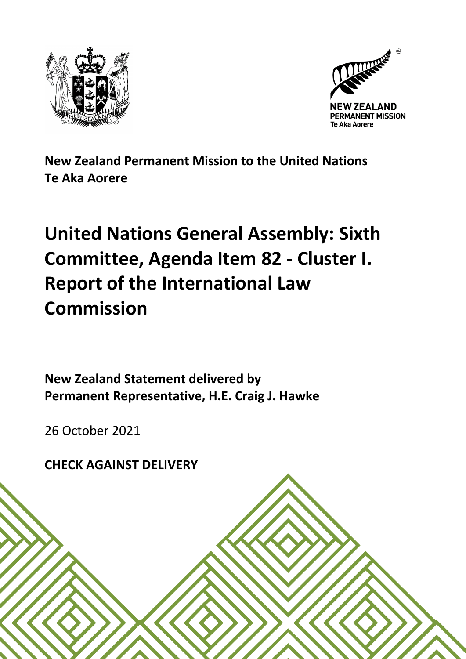



**New Zealand Permanent Mission to the United Nations Te Aka Aorere**

## **United Nations General Assembly: Sixth Committee, Agenda Item 82 - Cluster I. Report of the International Law Commission**

**New Zealand Statement delivered by Permanent Representative, H.E. Craig J. Hawke**

26 October 2021

**CHECK AGAINST DELIVERY**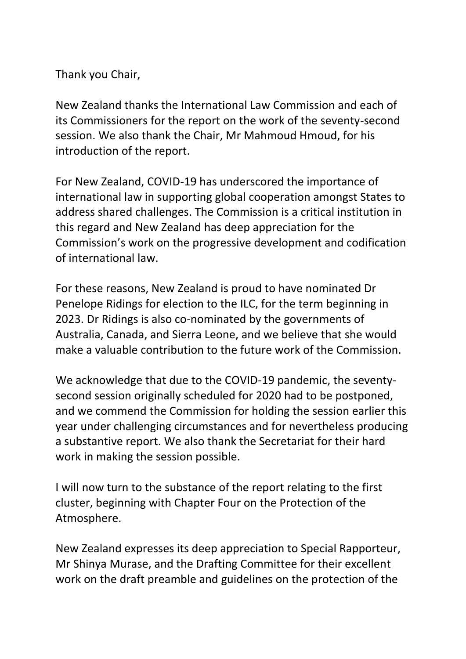Thank you Chair,

New Zealand thanks the International Law Commission and each of its Commissioners for the report on the work of the seventy-second session. We also thank the Chair, Mr Mahmoud Hmoud, for his introduction of the report.

For New Zealand, COVID-19 has underscored the importance of international law in supporting global cooperation amongst States to address shared challenges. The Commission is a critical institution in this regard and New Zealand has deep appreciation for the Commission's work on the progressive development and codification of international law.

For these reasons, New Zealand is proud to have nominated Dr Penelope Ridings for election to the ILC, for the term beginning in 2023. Dr Ridings is also co-nominated by the governments of Australia, Canada, and Sierra Leone, and we believe that she would make a valuable contribution to the future work of the Commission.

We acknowledge that due to the COVID-19 pandemic, the seventysecond session originally scheduled for 2020 had to be postponed, and we commend the Commission for holding the session earlier this year under challenging circumstances and for nevertheless producing a substantive report. We also thank the Secretariat for their hard work in making the session possible.

I will now turn to the substance of the report relating to the first cluster, beginning with Chapter Four on the Protection of the Atmosphere.

New Zealand expresses its deep appreciation to Special Rapporteur, Mr Shinya Murase, and the Drafting Committee for their excellent work on the draft preamble and guidelines on the protection of the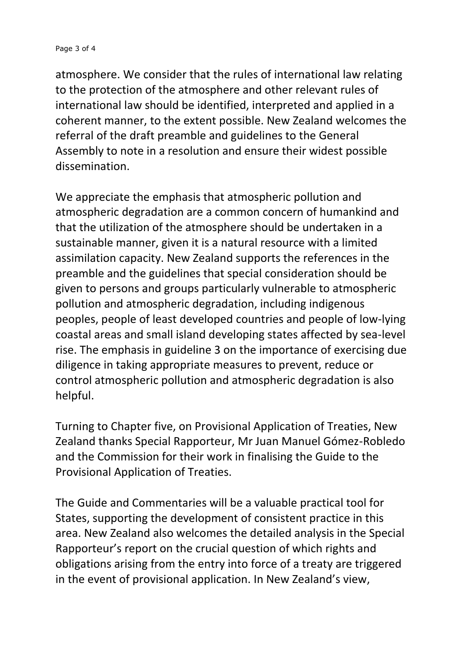## Page 3 of 4

atmosphere. We consider that the rules of international law relating to the protection of the atmosphere and other relevant rules of international law should be identified, interpreted and applied in a coherent manner, to the extent possible. New Zealand welcomes the referral of the draft preamble and guidelines to the General Assembly to note in a resolution and ensure their widest possible dissemination.

We appreciate the emphasis that atmospheric pollution and atmospheric degradation are a common concern of humankind and that the utilization of the atmosphere should be undertaken in a sustainable manner, given it is a natural resource with a limited assimilation capacity. New Zealand supports the references in the preamble and the guidelines that special consideration should be given to persons and groups particularly vulnerable to atmospheric pollution and atmospheric degradation, including indigenous peoples, people of least developed countries and people of low-lying coastal areas and small island developing states affected by sea-level rise. The emphasis in guideline 3 on the importance of exercising due diligence in taking appropriate measures to prevent, reduce or control atmospheric pollution and atmospheric degradation is also helpful.

Turning to Chapter five, on Provisional Application of Treaties, New Zealand thanks Special Rapporteur, Mr Juan Manuel Gómez-Robledo and the Commission for their work in finalising the Guide to the Provisional Application of Treaties.

The Guide and Commentaries will be a valuable practical tool for States, supporting the development of consistent practice in this area. New Zealand also welcomes the detailed analysis in the Special Rapporteur's report on the crucial question of which rights and obligations arising from the entry into force of a treaty are triggered in the event of provisional application. In New Zealand's view,